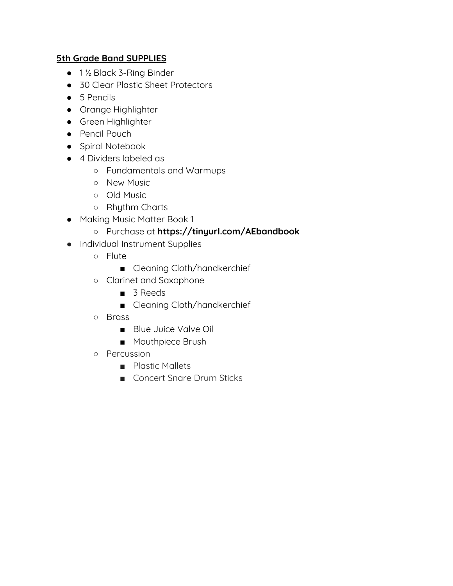- 1½ Black 3-Ring Binder
- 30 Clear Plastic Sheet Protectors
- 5 Pencils
- Orange Highlighter
- Green Highlighter
- Pencil Pouch
- Spiral Notebook
- 4 Dividers labeled as
	- Fundamentals and Warmups
	- New Music
	- Old Music
	- Rhythm Charts
- Making Music Matter Book 1

### ○ Purchase at **https://tinyurl.com/AEbandbook**

- Individual Instrument Supplies
	- Flute
		- Cleaning Cloth/handkerchief
	- Clarinet and Saxophone
		- 3 Reeds
		- Cleaning Cloth/handkerchief
	- Brass
		- Blue Juice Valve Oil
		- Mouthpiece Brush
	- Percussion
		- Plastic Mallets
		- Concert Snare Drum Sticks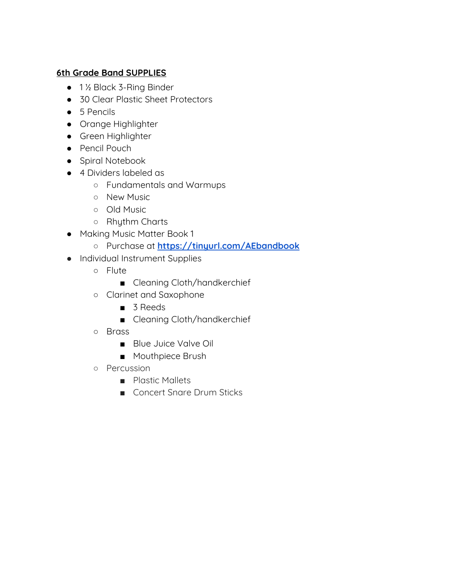- 1½ Black 3-Ring Binder
- 30 Clear Plastic Sheet Protectors
- 5 Pencils
- Orange Highlighter
- Green Highlighter
- Pencil Pouch
- Spiral Notebook
- 4 Dividers labeled as
	- Fundamentals and Warmups
	- New Music
	- Old Music
	- Rhythm Charts
- Making Music Matter Book 1
	- Purchase at **<https://tinyurl.com/AEbandbook>**
- Individual Instrument Supplies
	- Flute
		- Cleaning Cloth/handkerchief
	- Clarinet and Saxophone
		- 3 Reeds
		- Cleaning Cloth/handkerchief
	- Brass
		- Blue Juice Valve Oil
		- Mouthpiece Brush
	- Percussion
		- Plastic Mallets
		- Concert Snare Drum Sticks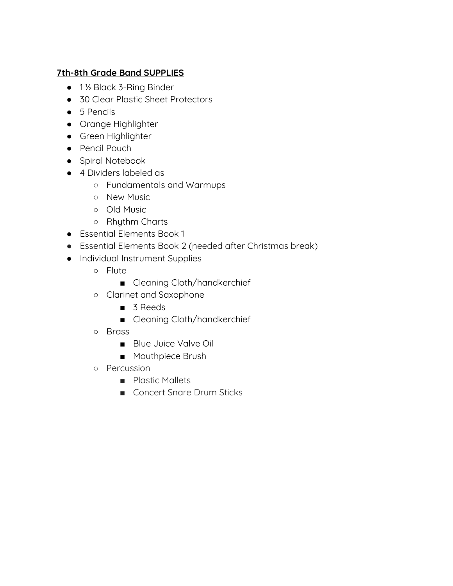- 1½ Black 3-Ring Binder
- 30 Clear Plastic Sheet Protectors
- 5 Pencils
- Orange Highlighter
- Green Highlighter
- Pencil Pouch
- Spiral Notebook
- 4 Dividers labeled as
	- Fundamentals and Warmups
	- New Music
	- Old Music
	- Rhythm Charts
- Essential Elements Book 1
- Essential Elements Book 2 (needed after Christmas break)
- Individual Instrument Supplies
	- Flute
		- Cleaning Cloth/handkerchief
	- Clarinet and Saxophone
		- 3 Reeds
		- Cleaning Cloth/handkerchief
	- Brass
		- Blue Juice Valve Oil
		- Mouthpiece Brush
	- Percussion
		- Plastic Mallets
		- Concert Snare Drum Sticks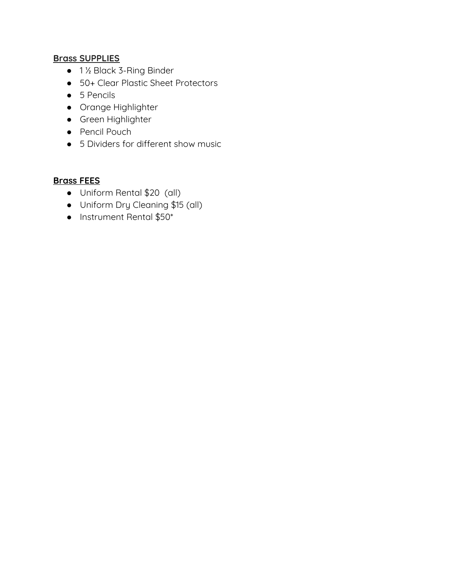# **Brass SUPPLIES**

- 1½ Black 3-Ring Binder
- 50+ Clear Plastic Sheet Protectors
- 5 Pencils
- Orange Highlighter
- Green Highlighter
- Pencil Pouch
- 5 Dividers for different show music

# **Brass FEES**

- Uniform Rental \$20 (all)
- Uniform Dry Cleaning \$15 (all)
- Instrument Rental \$50\*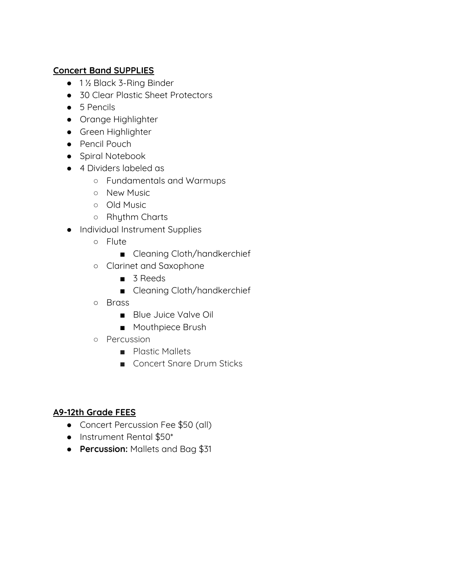# **Concert Band SUPPLIES**

- 1½ Black 3-Ring Binder
- 30 Clear Plastic Sheet Protectors
- 5 Pencils
- Orange Highlighter
- Green Highlighter
- Pencil Pouch
- Spiral Notebook
- 4 Dividers labeled as
	- Fundamentals and Warmups
	- New Music
	- Old Music
	- Rhythm Charts
- Individual Instrument Supplies
	- Flute
		- Cleaning Cloth/handkerchief
	- Clarinet and Saxophone
		- 3 Reeds
		- Cleaning Cloth/handkerchief
	- Brass
		- Blue Juice Valve Oil
		- Mouthpiece Brush
	- Percussion
		- Plastic Mallets
		- Concert Snare Drum Sticks

### **A9-12th Grade FEES**

- Concert Percussion Fee \$50 (all)
- Instrument Rental \$50\*
- **Percussion:** Mallets and Bag \$31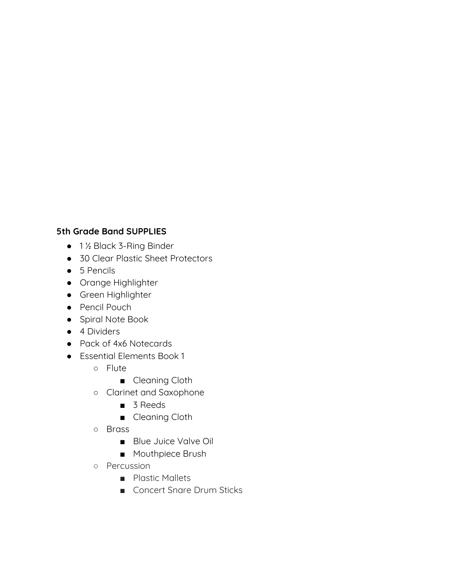- 1 ½ Black 3-Ring Binder
- 30 Clear Plastic Sheet Protectors
- 5 Pencils
- Orange Highlighter
- Green Highlighter
- Pencil Pouch
- Spiral Note Book
- 4 Dividers
- Pack of 4x6 Notecards
- Essential Elements Book 1
	- Flute
		- Cleaning Cloth
	- Clarinet and Saxophone
		- 3 Reeds
		- Cleaning Cloth
	- Brass
		- Blue Juice Valve Oil
		- Mouthpiece Brush
	- Percussion
		- Plastic Mallets
		- Concert Snare Drum Sticks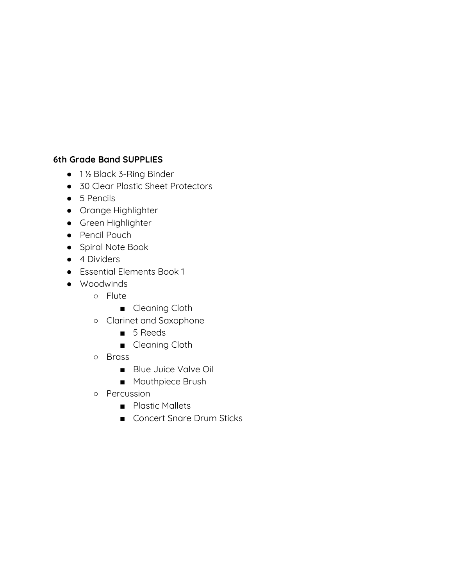- 1 ½ Black 3-Ring Binder
- 30 Clear Plastic Sheet Protectors
- 5 Pencils
- Orange Highlighter
- Green Highlighter
- Pencil Pouch
- Spiral Note Book
- 4 Dividers
- Essential Elements Book 1
- Woodwinds
	- Flute
		- Cleaning Cloth
	- Clarinet and Saxophone
		- 5 Reeds
		- Cleaning Cloth
	- Brass
		- Blue Juice Valve Oil
		- Mouthpiece Brush
	- Percussion
		- Plastic Mallets
		- Concert Snare Drum Sticks